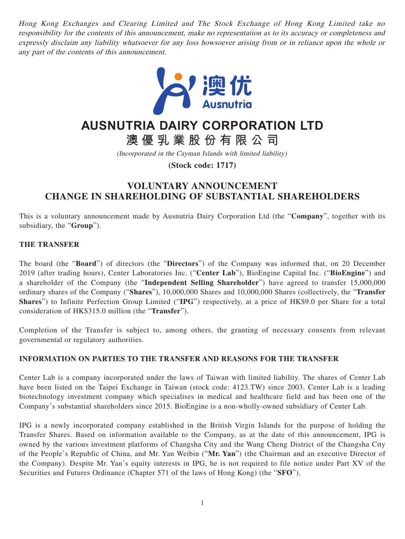Hong Kong Exchanges and Clearing Limited and The Stock Exchange of Hong Kong Limited take no responsibility for the contents of this announcement, make no representation as to its accuracy or completeness and expressly disclaim any liability whatsoever for any loss howsoever arising from or in reliance upon the whole or any part of the contents of this announcement.



# **AUSNUTRIA DAIRY CORPORATION LTD**

**澳優乳業股份有限公司**

(Incorporated in the Cayman Islands with limited liability)

**(Stock code: 1717)**

## **VOLUNTARY ANNOUNCEMENT CHANGE IN SHAREHOLDING OF SUBSTANTIAL SHAREHOLDERS**

This is a voluntary announcement made by Ausnutria Dairy Corporation Ltd (the "**Company**", together with its subsidiary, the "**Group**").

### **THE TRANSFER**

The board (the "**Board**") of directors (the "**Directors**") of the Company was informed that, on 20 December 2019 (after trading hours), Center Laboratories Inc. ("**Center Lab**"), BioEngine Capital Inc. ("**BioEngine**") and a shareholder of the Company (the "**Independent Selling Shareholder**") have agreed to transfer 15,000,000 ordinary shares of the Company ("**Shares**"), 10,000,000 Shares and 10,000,000 Shares (collectively, the "**Transfer Shares**") to Infinite Perfection Group Limited ("**IPG**") respectively, at a price of HK\$9.0 per Share for a total consideration of HK\$315.0 million (the "**Transfer**").

Completion of the Transfer is subject to, among others, the granting of necessary consents from relevant governmental or regulatory authorities.

#### **INFORMATION ON PARTIES TO THE TRANSFER AND REASONS FOR THE TRANSFER**

Center Lab is a company incorporated under the laws of Taiwan with limited liability. The shares of Center Lab have been listed on the Taipei Exchange in Taiwan (stock code: 4123.TW) since 2003. Center Lab is a leading biotechnology investment company which specialises in medical and healthcare field and has been one of the Company's substantial shareholders since 2015. BioEngine is a non-wholly-owned subsidiary of Center Lab.

IPG is a newly incorporated company established in the British Virgin Islands for the purpose of holding the Transfer Shares. Based on information available to the Company, as at the date of this announcement, IPG is owned by the various investment platforms of Changsha City and the Wang Cheng District of the Changsha City of the People's Republic of China, and Mr. Yan Weibin ("**Mr. Yan**") (the Chairman and an executive Director of the Company). Despite Mr. Yan's equity interests in IPG, he is not required to file notice under Part XV of the Securities and Futures Ordinance (Chapter 571 of the laws of Hong Kong) (the "**SFO**").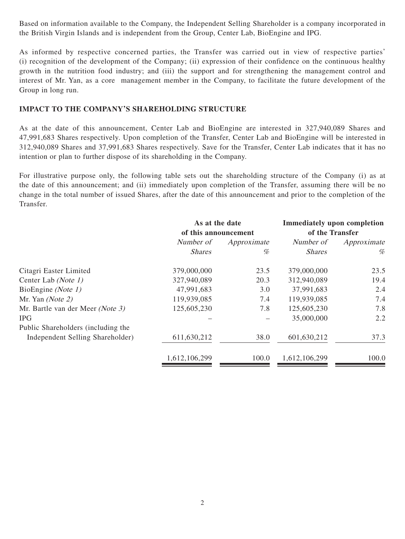Based on information available to the Company, the Independent Selling Shareholder is a company incorporated in the British Virgin Islands and is independent from the Group, Center Lab, BioEngine and IPG.

As informed by respective concerned parties, the Transfer was carried out in view of respective parties' (i) recognition of the development of the Company; (ii) expression of their confidence on the continuous healthy growth in the nutrition food industry; and (iii) the support and for strengthening the management control and interest of Mr. Yan, as a core management member in the Company, to facilitate the future development of the Group in long run.

#### **IMPACT TO THE COMPANY'S SHAREHOLDING STRUCTURE**

As at the date of this announcement, Center Lab and BioEngine are interested in 327,940,089 Shares and 47,991,683 Shares respectively. Upon completion of the Transfer, Center Lab and BioEngine will be interested in 312,940,089 Shares and 37,991,683 Shares respectively. Save for the Transfer, Center Lab indicates that it has no intention or plan to further dispose of its shareholding in the Company.

For illustrative purpose only, the following table sets out the shareholding structure of the Company (i) as at the date of this announcement; and (ii) immediately upon completion of the Transfer, assuming there will be no change in the total number of issued Shares, after the date of this announcement and prior to the completion of the Transfer.

|                                    | As at the date<br>of this announcement |             | <b>Immediately upon completion</b><br>of the Transfer |             |
|------------------------------------|----------------------------------------|-------------|-------------------------------------------------------|-------------|
|                                    | Number of                              | Approximate | Number of                                             | Approximate |
|                                    | <b>Shares</b>                          | %           | <b>Shares</b>                                         | %           |
| Citagri Easter Limited             | 379,000,000                            | 23.5        | 379,000,000                                           | 23.5        |
| Center Lab (Note 1)                | 327,940,089                            | 20.3        | 312,940,089                                           | 19.4        |
| BioEngine (Note 1)                 | 47,991,683                             | 3.0         | 37,991,683                                            | 2.4         |
| Mr. Yan $(Note 2)$                 | 119,939,085                            | 7.4         | 119,939,085                                           | 7.4         |
| Mr. Bartle van der Meer (Note 3)   | 125,605,230                            | 7.8         | 125,605,230                                           | 7.8         |
| <b>IPG</b>                         |                                        |             | 35,000,000                                            | 2.2         |
| Public Shareholders (including the |                                        |             |                                                       |             |
| Independent Selling Shareholder)   | 611,630,212                            | 38.0        | 601,630,212                                           | 37.3        |
|                                    | 1,612,106,299                          | 100.0       | 1,612,106,299                                         | 100.0       |